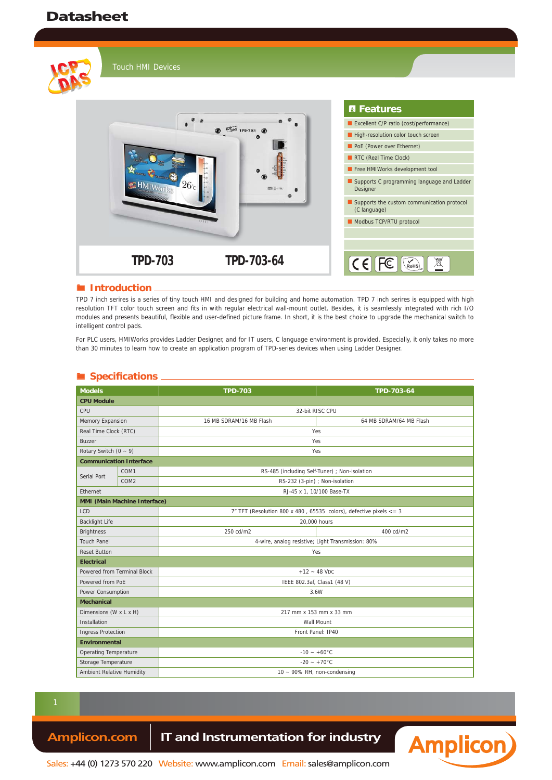

#### **Introduction.**

TPD 7 inch serires is a series of tiny touch HMI and designed for building and home automation. TPD 7 inch serires is equipped with high resolution TFT color touch screen and fits in with regular electrical wall-mount outlet. Besides, it is seamlessly integrated with rich I/O modules and presents beautiful, flexible and user-defined picture frame. In short, it is the best choice to upgrade the mechanical switch to intelligent control pads.

For PLC users, HMIWorks provides Ladder Designer, and for IT users, C language environment is provided. Especially, it only takes no more than 30 minutes to learn how to create an application program of TPD-series devices when using Ladder Designer.

#### $\blacksquare$  Specifications

| <b>Models</b>                       |                  | <b>TPD-703</b>                                                          | TPD-703-64              |  |  |
|-------------------------------------|------------------|-------------------------------------------------------------------------|-------------------------|--|--|
| <b>CPU Module</b>                   |                  |                                                                         |                         |  |  |
| CPU                                 |                  | 32-bit RISC CPU                                                         |                         |  |  |
| Memory Expansion                    |                  | 16 MB SDRAM/16 MB Flash                                                 | 64 MB SDRAM/64 MB Flash |  |  |
| Real Time Clock (RTC)               |                  | Yes                                                                     |                         |  |  |
| <b>Buzzer</b>                       |                  | Yes                                                                     |                         |  |  |
| Rotary Switch $(0 - 9)$             |                  | Yes                                                                     |                         |  |  |
| <b>Communication Interface</b>      |                  |                                                                         |                         |  |  |
| Serial Port                         | COM1             | RS-485 (including Self-Tuner) ; Non-isolation                           |                         |  |  |
|                                     | COM <sub>2</sub> | RS-232 (3-pin) ; Non-isolation                                          |                         |  |  |
| Ethernet                            |                  | RJ-45 x 1, 10/100 Base-TX                                               |                         |  |  |
| <b>MMI (Main Machine Interface)</b> |                  |                                                                         |                         |  |  |
| LCD                                 |                  | 7" TFT (Resolution 800 x 480, 65535 colors), defective pixels $\lt$ = 3 |                         |  |  |
| <b>Backlight Life</b>               |                  | 20,000 hours                                                            |                         |  |  |
| <b>Brightness</b>                   |                  | 250 cd/m2                                                               | 400 cd/m2               |  |  |
| <b>Touch Panel</b>                  |                  | 4-wire, analog resistive; Light Transmission: 80%                       |                         |  |  |
| <b>Reset Button</b>                 |                  | Yes                                                                     |                         |  |  |
| <b>Electrical</b>                   |                  |                                                                         |                         |  |  |
| Powered from Terminal Block         |                  | $+12 - 48$ VDC                                                          |                         |  |  |
| Powered from PoE                    |                  | IEEE 802.3af, Class1 (48 V)                                             |                         |  |  |
| Power Consumption                   |                  | 3.6W                                                                    |                         |  |  |
| <b>Mechanical</b>                   |                  |                                                                         |                         |  |  |
| Dimensions (W x L x H)              |                  | 217 mm x 153 mm x 33 mm                                                 |                         |  |  |
| Installation                        |                  | Wall Mount                                                              |                         |  |  |
| <b>Ingress Protection</b>           |                  | Front Panel: IP40                                                       |                         |  |  |
| <b>Environmental</b>                |                  |                                                                         |                         |  |  |
| Operating Temperature               |                  | $-10 - +60^{\circ}$ C                                                   |                         |  |  |
| Storage Temperature                 |                  | $-20 - +70$ °C                                                          |                         |  |  |
| Ambient Relative Humidity           |                  | 10 $\sim$ 90% RH, non-condensing                                        |                         |  |  |

1

# **Amplicon.com | IT and Instrumentation for industry**